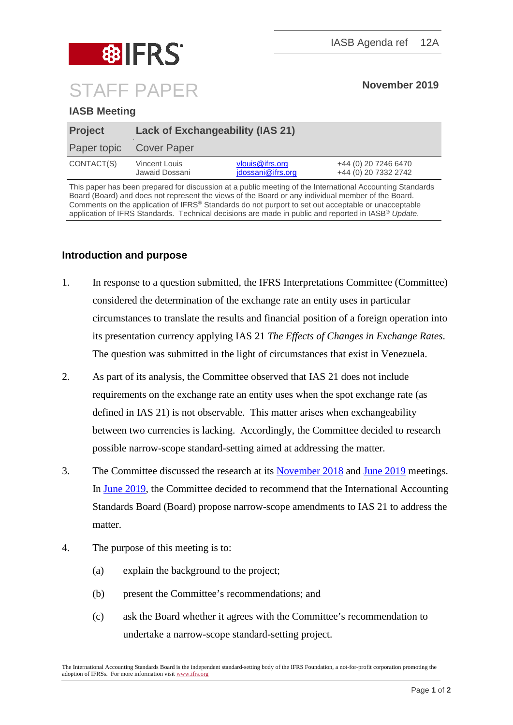

## **IASB Meeting**

| <b>Project</b>          | <b>Lack of Exchangeability (IAS 21)</b> |                                      |                                              |
|-------------------------|-----------------------------------------|--------------------------------------|----------------------------------------------|
| Paper topic Cover Paper |                                         |                                      |                                              |
| CONTACT(S)              | Vincent Louis<br>Jawaid Dossani         | vlouis@ifrs.org<br>jdossani@ifrs.org | +44 (0) 20 7246 6470<br>+44 (0) 20 7332 2742 |

This paper has been prepared for discussion at a public meeting of the International Accounting Standards Board (Board) and does not represent the views of the Board or any individual member of the Board. Comments on the application of IFRS® Standards do not purport to set out acceptable or unacceptable application of IFRS Standards. Technical decisions are made in public and reported in IASB® *Update*.

## **Introduction and purpose**

- 1. In response to a question submitted, the IFRS Interpretations Committee (Committee) considered the determination of the exchange rate an entity uses in particular circumstances to translate the results and financial position of a foreign operation into its presentation currency applying IAS 21 *The Effects of Changes in Exchange Rates*. The question was submitted in the light of circumstances that exist in Venezuela.
- 2. As part of its analysis, the Committee observed that IAS 21 does not include requirements on the exchange rate an entity uses when the spot exchange rate (as defined in IAS 21) is not observable. This matter arises when exchangeability between two currencies is lacking. Accordingly, the Committee decided to research possible narrow-scope standard-setting aimed at addressing the matter.
- 3. The Committee discussed the research at its [November 2018](https://www.ifrs.org/news-and-events/updates/ifric-updates/november-2018/#1) and [June 2019](https://www.ifrs.org/news-and-events/updates/ifric-updates/june-2019/#13) meetings. In [June 2019,](https://www.ifrs.org/news-and-events/updates/ifric-updates/june-2019/#13) the Committee decided to recommend that the International Accounting Standards Board (Board) propose narrow-scope amendments to IAS 21 to address the matter.
- 4. The purpose of this meeting is to:
	- (a) explain the background to the project;
	- (b) present the Committee's recommendations; and
	- (c) ask the Board whether it agrees with the Committee's recommendation to undertake a narrow-scope standard-setting project.

The International Accounting Standards Board is the independent standard-setting body of the IFRS Foundation, a not-for-profit corporation promoting the adoption of IFRSs. For more information visi[t www.ifrs.org](http://www.ifrs.org/)